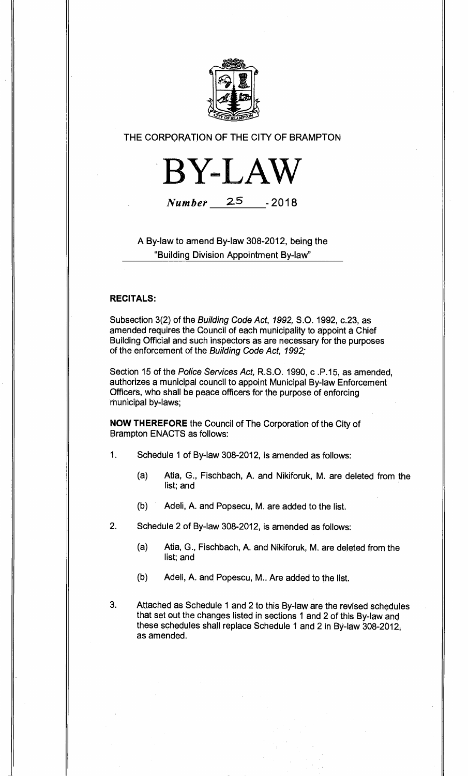

## THE CORPORATION OF THE CITY OF BRAMPTON



# **Number** 25 -2018

A By-law to amend By-law 308-2012, being the "Building Division Appointment By-law"

## **RECITALS:**

Subsection 3(2) of the Building Code Act, 1992, S.O. 1992, c.23, as amended requires the Council of each municipality to appoint a Chief Building Official and such inspectors as are necessary for the purposes of the enforcement of the Building Code Act, 1992;

Section 15 of the Police Services Act, R.S.O. 1990, c .P.15, as amended, authorizes a municipal council to appoint Municipal By-law Enforcement Officers, who shall be peace officers for the purpose of enforcing municipal by-laws;

**NOW THEREFORE** the Council of The Corporation of the City of Brampton ENACTS as follows:

- 1. Schedule 1 of By-law 308-2012, is amended as follows:
	- (a) Atia, G., Fischbach, A. and Nikiforuk, M. are deleted from the list; and
	- (b) Adeli, A. and Popsecu, M. are added to the list.
- 2. Schedule 2 of By-law 308-2012, is amended as follows:
	- (a) Atia, G., Fischbach, A. and Nikiforuk, M. are deleted from the list; and
	- (b) Adeli, A. and Popescu, M.. Are added to the list.
- 3. Attached as Schedule 1 and 2 to this By-law are the revised schedules that set out the changes listed in sections 1 and 2 of this By-law and these schedules shall replace Schedule 1 and 2 in By-law 308-2012, as amended.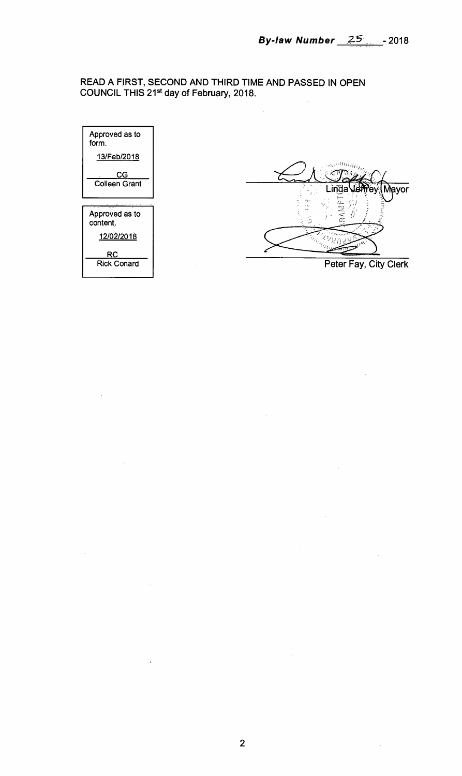## **READ A FIRST, SECOND AND THIRD TIME AND PASSED IN OPEN COUNCIL THIS 21st day of February, 2018.**



 $\ddot{\phantom{a}}$ 

 $\mathbf{r}$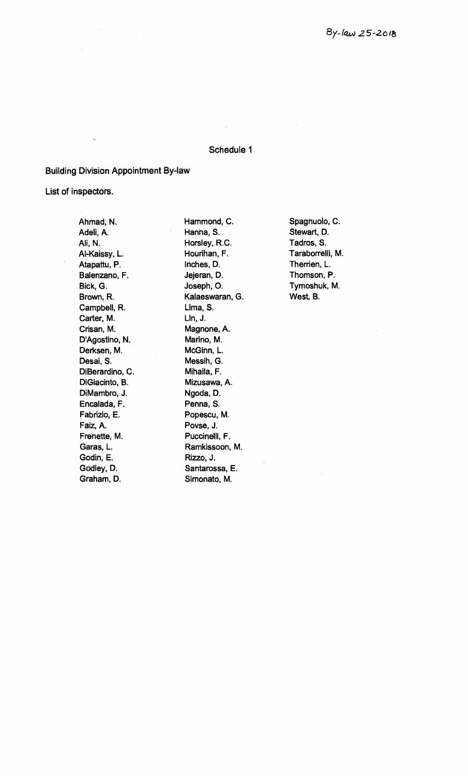#### **Schedule 1**

**Building Division Appointment By-law** 

 $\mathbb{R}^2$ 

**List of inspectors.** 

**Ahmad, N. Adeli, A. Ali, N. Al-Kaissy, L. Atapattu,** P. **Balenzano, F. Bick, G. Brown, R. Campbell, R. Carter, M. Crisan, M. D'Agostino, N. Derksen, M. Desai, S. DiBerardino, C. DiGiacinto, B. DiMambro, J. Encalada, F. Fabrizio, E. Faiz, A. Frenette, M. Garas, L. Godin, E. Godley, D. Graham, D.** 

**Hammond, C. Hanna, S. Horsley, R.C. Hourihan, F. Inches, D. Jejeran, D. Joseph, 0. Kalaeswaran, G. Lima, S. Lin, J. Magnone, A. Marino, M. McGinn, L. Messih, G. Mihaila, F. Mizusawa, A. Ngoda, D. Penna, S. Popescu, M. Povse, J. Puccinelli, F. Ramkissoon, M. Rizzo, J. Santarossa, E. Simonato, M.** 

**Spagnuolo, C. Stewart, D. Tadros, S. Taraborrelli, M. Therrien, L. Thomson, P. Tymoshuk, M. West, B.**